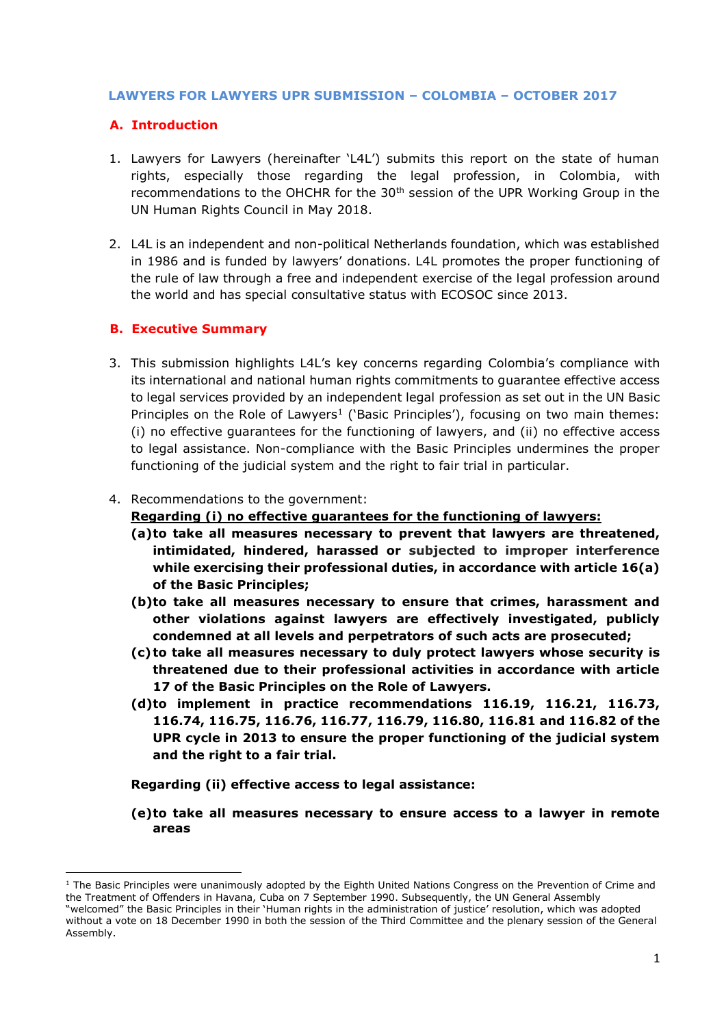#### **LAWYERS FOR LAWYERS UPR SUBMISSION – COLOMBIA – OCTOBER 2017**

## **A. Introduction**

- 1. Lawyers for Lawyers (hereinafter 'L4L') submits this report on the state of human rights, especially those regarding the legal profession, in Colombia, with recommendations to the OHCHR for the 30<sup>th</sup> session of the UPR Working Group in the UN Human Rights Council in May 2018.
- 2. L4L is an independent and non-political Netherlands foundation, which was established in 1986 and is funded by lawyers' donations. L4L promotes the proper functioning of the rule of law through a free and independent exercise of the legal profession around the world and has special consultative status with ECOSOC since 2013.

#### **B. Executive Summary**

**.** 

3. This submission highlights L4L's key concerns regarding Colombia's compliance with its international and national human rights commitments to guarantee effective access to legal services provided by an independent legal profession as set out in the UN Basic Principles on the Role of Lawyers<sup>1</sup> ('Basic Principles'), focusing on two main themes: (i) no effective guarantees for the functioning of lawyers, and (ii) no effective access to legal assistance. Non-compliance with the Basic Principles undermines the proper functioning of the judicial system and the right to fair trial in particular.

#### 4. Recommendations to the government:

#### **Regarding (i) no effective guarantees for the functioning of lawyers:**

- **(a)to take all measures necessary to prevent that lawyers are threatened, intimidated, hindered, harassed or subjected to improper interference while exercising their professional duties, in accordance with article 16(a) of the Basic Principles;**
- **(b)to take all measures necessary to ensure that crimes, harassment and other violations against lawyers are effectively investigated, publicly condemned at all levels and perpetrators of such acts are prosecuted;**
- **(c)to take all measures necessary to duly protect lawyers whose security is threatened due to their professional activities in accordance with article 17 of the Basic Principles on the Role of Lawyers.**
- **(d)to implement in practice recommendations 116.19, 116.21, 116.73, 116.74, 116.75, 116.76, 116.77, 116.79, 116.80, 116.81 and 116.82 of the UPR cycle in 2013 to ensure the proper functioning of the judicial system and the right to a fair trial.**
- **Regarding (ii) effective access to legal assistance:**
- **(e)to take all measures necessary to ensure access to a lawyer in remote areas**

 $1$  The Basic Principles were unanimously adopted by the Eighth United Nations Congress on the Prevention of Crime and the Treatment of Offenders in Havana, Cuba on 7 September 1990. Subsequently, the UN General Assembly "welcomed" the Basic Principles in their 'Human rights in the administration of justice' resolution, which was adopted without a vote on 18 December 1990 in both the session of the Third Committee and the plenary session of the General Assembly.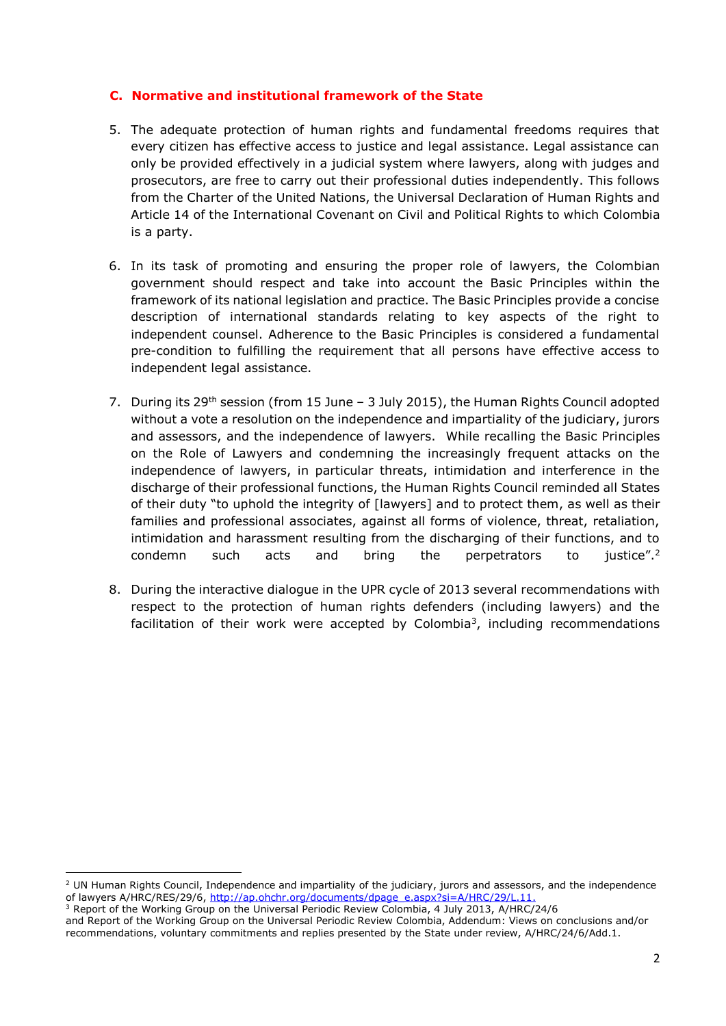## **C. Normative and institutional framework of the State**

- 5. The adequate protection of human rights and fundamental freedoms requires that every citizen has effective access to justice and legal assistance. Legal assistance can only be provided effectively in a judicial system where lawyers, along with judges and prosecutors, are free to carry out their professional duties independently. This follows from the Charter of the United Nations, the Universal Declaration of Human Rights and Article 14 of the International Covenant on Civil and Political Rights to which Colombia is a party.
- 6. In its task of promoting and ensuring the proper role of lawyers, the Colombian government should respect and take into account the Basic Principles within the framework of its national legislation and practice. The Basic Principles provide a concise description of international standards relating to key aspects of the right to independent counsel. Adherence to the Basic Principles is considered a fundamental pre-condition to fulfilling the requirement that all persons have effective access to independent legal assistance.
- 7. During its 29<sup>th</sup> session (from 15 June 3 July 2015), the Human Rights Council adopted without a vote a resolution on the independence and impartiality of the judiciary, jurors and assessors, and the independence of lawyers. While recalling the Basic Principles on the Role of Lawyers and condemning the increasingly frequent attacks on the independence of lawyers, in particular threats, intimidation and interference in the discharge of their professional functions, the Human Rights Council reminded all States of their duty "to uphold the integrity of [lawyers] and to protect them, as well as their families and professional associates, against all forms of violence, threat, retaliation, intimidation and harassment resulting from the discharging of their functions, and to condemn such acts and bring the perpetrators to justice".<sup>2</sup>
- 8. During the interactive dialogue in the UPR cycle of 2013 several recommendations with respect to the protection of human rights defenders (including lawyers) and the facilitation of their work were accepted by Colombia<sup>3</sup>, including recommendations

**.** 

 $2$  UN Human Rights Council, Independence and impartiality of the judiciary, jurors and assessors, and the independence of lawyers A/HRC/RES/29/6, [http://ap.ohchr.org/documents/dpage\\_e.aspx?si=A/HRC/29/L.11.](http://ap.ohchr.org/documents/dpage_e.aspx?si=A/HRC/29/L.11)

<sup>&</sup>lt;sup>3</sup> Report of the Working Group on the Universal Periodic Review Colombia, 4 July 2013, A/HRC/24/6 and Report of the Working Group on the Universal Periodic Review Colombia, Addendum: Views on conclusions and/or recommendations, voluntary commitments and replies presented by the State under review, A/HRC/24/6/Add.1.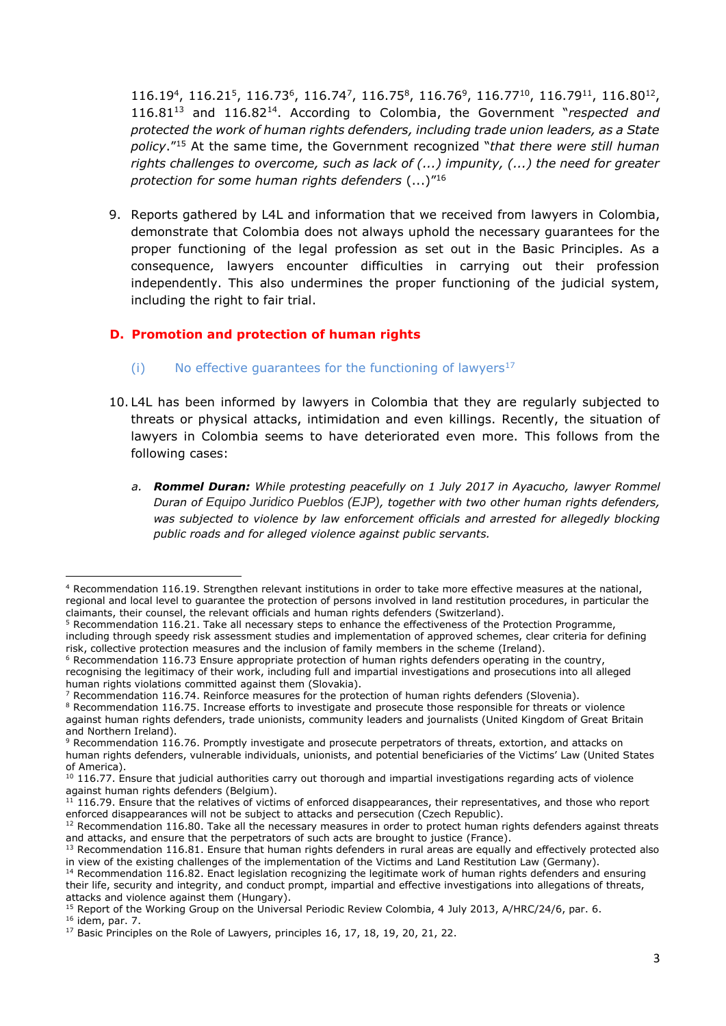$116.19<sup>4</sup>$ ,  $116.21<sup>5</sup>$ ,  $116.73<sup>6</sup>$ ,  $116.74<sup>7</sup>$ ,  $116.75<sup>8</sup>$ ,  $116.76<sup>9</sup>$ ,  $116.77<sup>10</sup>$ ,  $116.79<sup>11</sup>$ ,  $116.80<sup>12</sup>$ , 116.81<sup>13</sup> and 116.82<sup>14</sup>. According to Colombia, the Government "*respected and protected the work of human rights defenders, including trade union leaders, as a State policy*." <sup>15</sup> At the same time, the Government recognized "*that there were still human rights challenges to overcome, such as lack of (...) impunity, (...) the need for greater protection for some human rights defenders* (...)" 16

9. Reports gathered by L4L and information that we received from lawyers in Colombia, demonstrate that Colombia does not always uphold the necessary guarantees for the proper functioning of the legal profession as set out in the Basic Principles. As a consequence, lawyers encounter difficulties in carrying out their profession independently. This also undermines the proper functioning of the judicial system, including the right to fair trial.

## **D. Promotion and protection of human rights**

- (i) No effective quarantees for the functioning of lawyers<sup>17</sup>
- 10. L4L has been informed by lawyers in Colombia that they are regularly subjected to threats or physical attacks, intimidation and even killings. Recently, the situation of lawyers in Colombia seems to have deteriorated even more. This follows from the following cases:
	- *a. Rommel Duran: While protesting peacefully on 1 July 2017 in Ayacucho, lawyer Rommel Duran of Equipo Juridico Pueblos (EJP), together with two other human rights defenders, was subjected to violence by law enforcement officials and arrested for allegedly blocking public roads and for alleged violence against public servants.*

<sup>1</sup> <sup>4</sup> Recommendation 116.19. Strengthen relevant institutions in order to take more effective measures at the national, regional and local level to guarantee the protection of persons involved in land restitution procedures, in particular the claimants, their counsel, the relevant officials and human rights defenders (Switzerland).

 $5$  Recommendation 116.21. Take all necessary steps to enhance the effectiveness of the Protection Programme, including through speedy risk assessment studies and implementation of approved schemes, clear criteria for defining risk, collective protection measures and the inclusion of family members in the scheme (Ireland).

 $6$  Recommendation 116.73 Ensure appropriate protection of human rights defenders operating in the country, recognising the legitimacy of their work, including full and impartial investigations and prosecutions into all alleged human rights violations committed against them (Slovakia).

 $7$  Recommendation 116.74. Reinforce measures for the protection of human rights defenders (Slovenia).

<sup>&</sup>lt;sup>8</sup> Recommendation 116.75. Increase efforts to investigate and prosecute those responsible for threats or violence against human rights defenders, trade unionists, community leaders and journalists (United Kingdom of Great Britain and Northern Ireland).

<sup>9</sup> Recommendation 116.76. Promptly investigate and prosecute perpetrators of threats, extortion, and attacks on human rights defenders, vulnerable individuals, unionists, and potential beneficiaries of the Victims' Law (United States of America).

<sup>10 116.77.</sup> Ensure that judicial authorities carry out thorough and impartial investigations regarding acts of violence against human rights defenders (Belgium).

<sup>&</sup>lt;sup>11</sup> 116.79. Ensure that the relatives of victims of enforced disappearances, their representatives, and those who report enforced disappearances will not be subject to attacks and persecution (Czech Republic).

 $12$  Recommendation 116.80. Take all the necessary measures in order to protect human rights defenders against threats and attacks, and ensure that the perpetrators of such acts are brought to justice (France).

<sup>&</sup>lt;sup>13</sup> Recommendation 116.81. Ensure that human rights defenders in rural areas are equally and effectively protected also in view of the existing challenges of the implementation of the Victims and Land Restitution Law (Germany).

 $14$  Recommendation 116.82. Enact legislation recognizing the legitimate work of human rights defenders and ensuring their life, security and integrity, and conduct prompt, impartial and effective investigations into allegations of threats, attacks and violence against them (Hungary).

<sup>&</sup>lt;sup>15</sup> Report of the Working Group on the Universal Periodic Review Colombia, 4 July 2013, A/HRC/24/6, par. 6. <sup>16</sup> idem, par. 7.

<sup>&</sup>lt;sup>17</sup> Basic Principles on the Role of Lawyers, principles 16, 17, 18, 19, 20, 21, 22.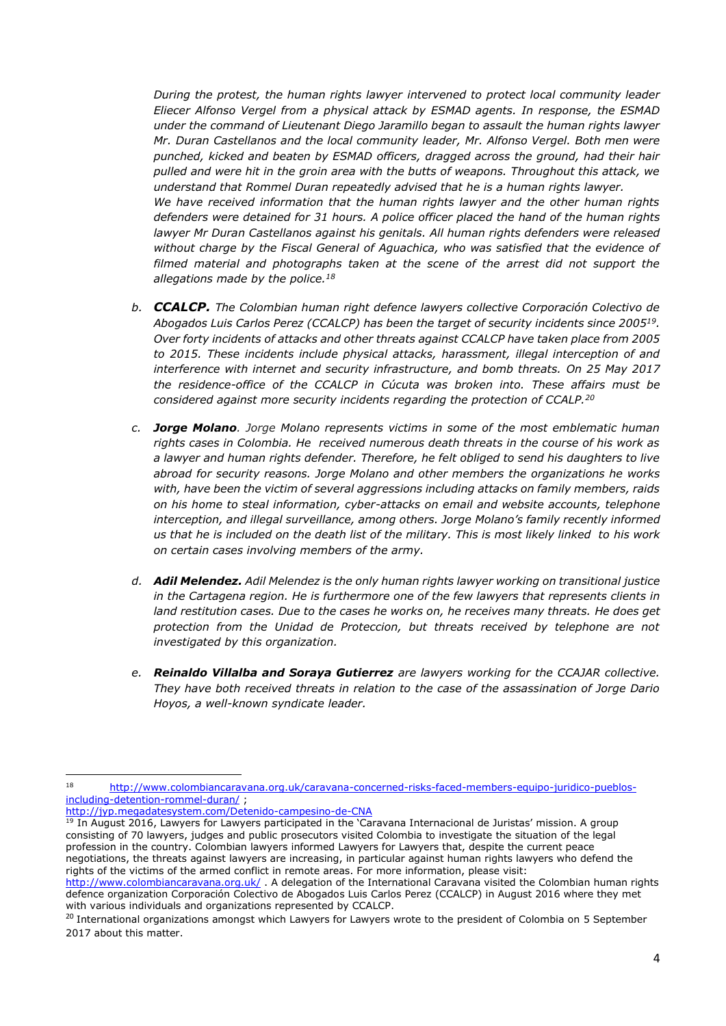*During the protest, the human rights lawyer intervened to protect local community leader Eliecer Alfonso Vergel from a physical attack by ESMAD agents. In response, the ESMAD under the command of Lieutenant Diego Jaramillo began to assault the human rights lawyer Mr. Duran Castellanos and the local community leader, Mr. Alfonso Vergel. Both men were punched, kicked and beaten by ESMAD officers, dragged across the ground, had their hair pulled and were hit in the groin area with the butts of weapons. Throughout this attack, we understand that Rommel Duran repeatedly advised that he is a human rights lawyer. We have received information that the human rights lawyer and the other human rights defenders were detained for 31 hours. A police officer placed the hand of the human rights lawyer Mr Duran Castellanos against his genitals. All human rights defenders were released without charge by the Fiscal General of Aguachica, who was satisfied that the evidence of filmed material and photographs taken at the scene of the arrest did not support the allegations made by the police.<sup>18</sup>*

- *b. CCALCP. The Colombian human right defence lawyers collective Corporación Colectivo de Abogados Luis Carlos Perez (CCALCP) has been the target of security incidents since 2005<sup>19</sup> . Over forty incidents of attacks and other threats against CCALCP have taken place from 2005 to 2015. These incidents include physical attacks, harassment, illegal interception of and interference with internet and security infrastructure, and bomb threats. On 25 May 2017 the residence-office of the CCALCP in Cúcuta was broken into. These affairs must be considered against more security incidents regarding the protection of CCALP.<sup>20</sup>*
- *c. Jorge Molano. Jorge Molano represents victims in some of the most emblematic human rights cases in Colombia. He received numerous death threats in the course of his work as a lawyer and human rights defender. Therefore, he felt obliged to send his daughters to live abroad for security reasons. Jorge Molano and other members the organizations he works with, have been the victim of several aggressions including attacks on family members, raids on his home to steal information, cyber-attacks on email and website accounts, telephone interception, and illegal surveillance, among others. Jorge Molano's family recently informed us that he is included on the death list of the military. This is most likely linked to his work on certain cases involving members of the army.*
- *d. Adil Melendez. Adil Melendez is the only human rights lawyer working on transitional justice in the Cartagena region. He is furthermore one of the few lawyers that represents clients in land restitution cases. Due to the cases he works on, he receives many threats. He does get protection from the Unidad de Proteccion, but threats received by telephone are not investigated by this organization.*
- *e. Reinaldo Villalba and Soraya Gutierrez are lawyers working for the CCAJAR collective. They have both received threats in relation to the case of the assassination of Jorge Dario Hoyos, a well-known syndicate leader.*

**.** 

<sup>18</sup> [http://www.colombiancaravana.org.uk/caravana-concerned-risks-faced-members-equipo-juridico-pueblos](http://www.colombiancaravana.org.uk/caravana-concerned-risks-faced-members-equipo-juridico-pueblos-including-detention-rommel-duran/)[including-detention-rommel-duran/](http://www.colombiancaravana.org.uk/caravana-concerned-risks-faced-members-equipo-juridico-pueblos-including-detention-rommel-duran/) ;

<http://jyp.megadatesystem.com/Detenido-campesino-de-CNA>

<sup>19</sup> In August 2016, Lawyers for Lawyers participated in the 'Caravana Internacional de Juristas' mission. A group consisting of 70 lawyers, judges and public prosecutors visited Colombia to investigate the situation of the legal profession in the country. Colombian lawyers informed Lawyers for Lawyers that, despite the current peace negotiations, the threats against lawyers are increasing, in particular against human rights lawyers who defend the rights of the victims of the armed conflict in remote areas. For more information, please visit:

<http://www.colombiancaravana.org.uk/> . A delegation of the International Caravana visited the Colombian human rights defence organization Corporación Colectivo de Abogados Luis Carlos Perez (CCALCP) in August 2016 where they met with various individuals and organizations represented by CCALCP.

<sup>&</sup>lt;sup>20</sup> International organizations amongst which Lawyers for Lawyers wrote to the president of Colombia on 5 September 2017 about this matter.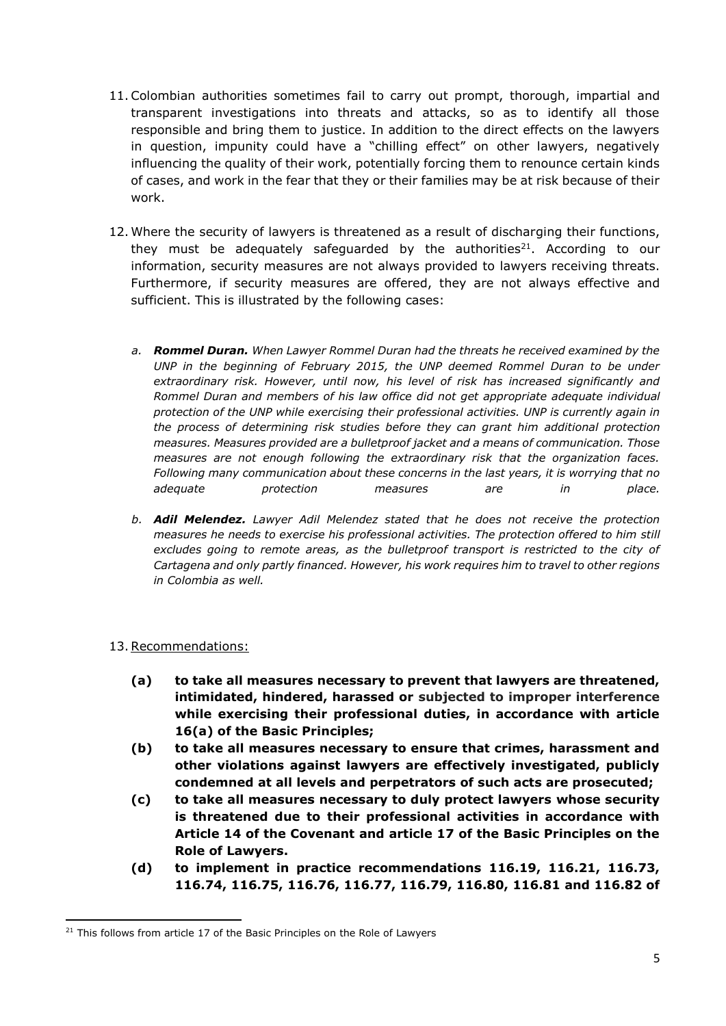- 11.Colombian authorities sometimes fail to carry out prompt, thorough, impartial and transparent investigations into threats and attacks, so as to identify all those responsible and bring them to justice. In addition to the direct effects on the lawyers in question, impunity could have a "chilling effect" on other lawyers, negatively influencing the quality of their work, potentially forcing them to renounce certain kinds of cases, and work in the fear that they or their families may be at risk because of their work.
- 12. Where the security of lawyers is threatened as a result of discharging their functions, they must be adequately safeguarded by the authorities<sup>21</sup>. According to our information, security measures are not always provided to lawyers receiving threats. Furthermore, if security measures are offered, they are not always effective and sufficient. This is illustrated by the following cases:
	- *a. Rommel Duran. When Lawyer Rommel Duran had the threats he received examined by the UNP in the beginning of February 2015, the UNP deemed Rommel Duran to be under extraordinary risk. However, until now, his level of risk has increased significantly and Rommel Duran and members of his law office did not get appropriate adequate individual protection of the UNP while exercising their professional activities. UNP is currently again in the process of determining risk studies before they can grant him additional protection measures. Measures provided are a bulletproof jacket and a means of communication. Those measures are not enough following the extraordinary risk that the organization faces. Following many communication about these concerns in the last years, it is worrying that no adequate protection measures are in place.*
	- *b. Adil Melendez. Lawyer Adil Melendez stated that he does not receive the protection measures he needs to exercise his professional activities. The protection offered to him still excludes going to remote areas, as the bulletproof transport is restricted to the city of Cartagena and only partly financed. However, his work requires him to travel to other regions in Colombia as well.*

## 13.Recommendations:

- **(a) to take all measures necessary to prevent that lawyers are threatened, intimidated, hindered, harassed or subjected to improper interference while exercising their professional duties, in accordance with article 16(a) of the Basic Principles;**
- **(b) to take all measures necessary to ensure that crimes, harassment and other violations against lawyers are effectively investigated, publicly condemned at all levels and perpetrators of such acts are prosecuted;**
- **(c) to take all measures necessary to duly protect lawyers whose security is threatened due to their professional activities in accordance with Article 14 of the Covenant and article 17 of the Basic Principles on the Role of Lawyers.**
- **(d) to implement in practice recommendations 116.19, 116.21, 116.73, 116.74, 116.75, 116.76, 116.77, 116.79, 116.80, 116.81 and 116.82 of**

**<sup>.</sup>** <sup>21</sup> This follows from article 17 of the Basic Principles on the Role of Lawyers